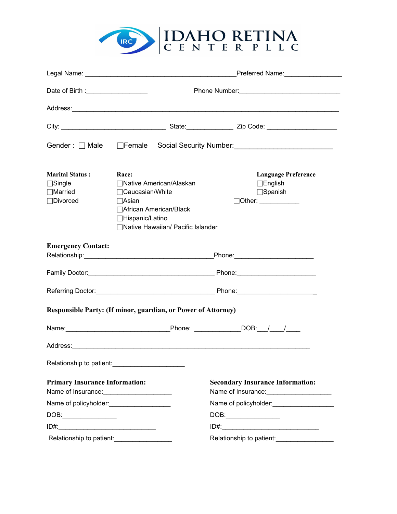

|                                                                        |                                                                                                                                                                    | Preferred Name:__________________                                                                                                                                                                                              |  |  |
|------------------------------------------------------------------------|--------------------------------------------------------------------------------------------------------------------------------------------------------------------|--------------------------------------------------------------------------------------------------------------------------------------------------------------------------------------------------------------------------------|--|--|
| Date of Birth : _______________________                                |                                                                                                                                                                    |                                                                                                                                                                                                                                |  |  |
|                                                                        |                                                                                                                                                                    | Address: Address: Address: Address: Address: Address: Address: Address: Address: Address: Address: Address: Address: Address: Address: Address: Address: Address: Address: Address: Address: Address: Address: Address: Addres |  |  |
|                                                                        |                                                                                                                                                                    |                                                                                                                                                                                                                                |  |  |
|                                                                        |                                                                                                                                                                    | Gender: Male Female Social Security Number: Canadian Municipal Male Premare Contains                                                                                                                                           |  |  |
| <b>Marital Status:</b><br>$\Box$ Single<br>$\Box$ Married<br>□Divorced | Race:<br>□ Native American/Alaskan<br>$\Box$ Caucasian/White<br>$\Box$ Asian<br>□ African American/Black<br>□Hispanic/Latino<br>□Native Hawaiian/ Pacific Islander | <b>Language Preference</b><br>$\Box$ English<br>$\Box$ Spanish<br>$\sqrt{\text{Other:}}$                                                                                                                                       |  |  |
| <b>Emergency Contact:</b>                                              |                                                                                                                                                                    |                                                                                                                                                                                                                                |  |  |
|                                                                        |                                                                                                                                                                    |                                                                                                                                                                                                                                |  |  |
|                                                                        |                                                                                                                                                                    |                                                                                                                                                                                                                                |  |  |
|                                                                        | Responsible Party: (If minor, guardian, or Power of Attorney)                                                                                                      |                                                                                                                                                                                                                                |  |  |
|                                                                        |                                                                                                                                                                    |                                                                                                                                                                                                                                |  |  |
|                                                                        |                                                                                                                                                                    |                                                                                                                                                                                                                                |  |  |
| Relationship to patient:                                               |                                                                                                                                                                    |                                                                                                                                                                                                                                |  |  |
| <b>Primary Insurance Information:</b><br>Name of Insurance:            |                                                                                                                                                                    | <b>Secondary Insurance Information:</b><br>Name of Insurance:                                                                                                                                                                  |  |  |
| Name of policyholder:<br><u>Name</u> of policyholder:                  |                                                                                                                                                                    | Name of policyholder:<br>Mame of policyholder:                                                                                                                                                                                 |  |  |
|                                                                        |                                                                                                                                                                    | DOB:__________________                                                                                                                                                                                                         |  |  |
|                                                                        |                                                                                                                                                                    |                                                                                                                                                                                                                                |  |  |
| Relationship to patient:                                               |                                                                                                                                                                    | Relationship to patient:                                                                                                                                                                                                       |  |  |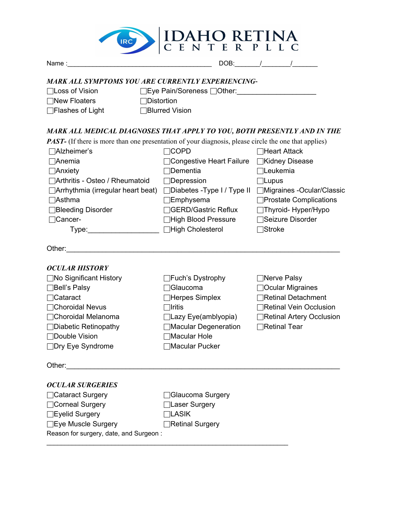

| Name: Name and the second contract of the second contract of the second contract of the second contract of the second contract of the second contract of the second contract of the second contract of the second contract of |                            | DOB: / /                  |
|-------------------------------------------------------------------------------------------------------------------------------------------------------------------------------------------------------------------------------|----------------------------|---------------------------|
| <b>MARK ALL SYMPTOMS YOU ARE CURRENTLY EXPERIENCING-</b>                                                                                                                                                                      |                            |                           |
| <b>□Loss of Vision</b>                                                                                                                                                                                                        | □Eye Pain/Soreness □Other: |                           |
| $\Box$ New Floaters<br>$\Box$ Distortion                                                                                                                                                                                      |                            |                           |
| $\Box$ Flashes of Light                                                                                                                                                                                                       | □Blurred Vision            |                           |
| MARK ALL MEDICAL DIAGNOSES THAT APPLY TO YOU, BOTH PRESENTLY AND IN THE                                                                                                                                                       |                            |                           |
| PAST- (If there is more than one presentation of your diagnosis, please circle the one that applies)                                                                                                                          |                            |                           |
| □Alzheimer's                                                                                                                                                                                                                  | $\Box$ COPD                | <b>□Heart Attack</b>      |
| $\Box$ Anemia                                                                                                                                                                                                                 | Congestive Heart Failure   | <b>EXidney Disease</b>    |
| $\Box$ Anxiety                                                                                                                                                                                                                | <sup>∩</sup> Dementia      | $\Box$ Leukemia           |
| □ Arthritis - Osteo / Rheumatoid                                                                                                                                                                                              | $\Box$ Depression          | $\Box$ Lupus              |
| □ Arrhythmia (irregular heart beat) □ Diabetes - Type I / Type II □ Migraines - Ocular/Classic                                                                                                                                |                            |                           |
| $\Box$ Asthma                                                                                                                                                                                                                 | $\Box$ Emphysema           | □Prostate Complications   |
| □Bleeding Disorder                                                                                                                                                                                                            | □GERD/Gastric Reflux       | □Thyroid-Hyper/Hypo       |
| <b>Cancer-</b>                                                                                                                                                                                                                | □High Blood Pressure       | □Seizure Disorder         |
| Type:                                                                                                                                                                                                                         | □High Cholesterol          | $\Box$ Stroke             |
| Other:                                                                                                                                                                                                                        |                            |                           |
| <b>OCULAR HISTORY</b>                                                                                                                                                                                                         |                            |                           |
| □No Significant History                                                                                                                                                                                                       | □Fuch's Dystrophy          | □Nerve Palsy              |
| $\Box$ Bell's Palsy                                                                                                                                                                                                           | <b>Glaucoma</b>            | □Ocular Migraines         |
| $\Box$ Cataract                                                                                                                                                                                                               | Herpes Simplex             | Retinal Detachment        |
| □Choroidal Nevus                                                                                                                                                                                                              | $\sqcap$ Iritis            | □Retinal Vein Occlusion   |
| □Choroidal Melanoma                                                                                                                                                                                                           | $\Box$ Lazy Eye(amblyopia) | □Retinal Artery Occlusion |
| $\Box$ Diabetic Retinopathy                                                                                                                                                                                                   | Macular Degeneration       | □Retinal Tear             |
| □Double Vision                                                                                                                                                                                                                | Macular Hole               |                           |
| □Dry Eye Syndrome                                                                                                                                                                                                             | Macular Pucker             |                           |
| Other:                                                                                                                                                                                                                        |                            |                           |
| <b>OCULAR SURGERIES</b>                                                                                                                                                                                                       |                            |                           |
| □Cataract Surgery                                                                                                                                                                                                             | Glaucoma Surgery           |                           |
| □Corneal Surgery                                                                                                                                                                                                              | Laser Surgery              |                           |
| □Eyelid Surgery                                                                                                                                                                                                               | <b>LASIK</b>               |                           |
| □Eye Muscle Surgery                                                                                                                                                                                                           | Retinal Surgery            |                           |
| Reason for surgery, date, and Surgeon:                                                                                                                                                                                        |                            |                           |
|                                                                                                                                                                                                                               |                            |                           |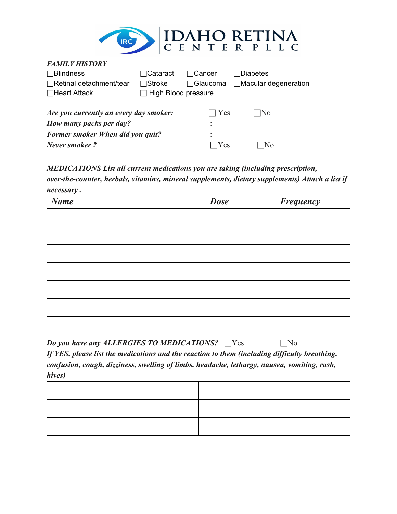

| <b>FAMILY HISTORY</b>                             |                                     |             |                             |
|---------------------------------------------------|-------------------------------------|-------------|-----------------------------|
| $\Box$ Blindness                                  | $\sqcap$ Cataract<br>$\lnot$ Cancer |             | ⊺Diabetes                   |
| $\Box$ Retinal detachment/tear                    | $\Box$ Stroke                       | ⊟Glaucoma   | $\Box$ Macular degeneration |
| $\Box$ Heart Attack<br>$\Box$ High Blood pressure |                                     |             |                             |
|                                                   |                                     |             |                             |
| Are you currently an every day smoker:            |                                     | $\vert$ Yes | INo                         |
| How many packs per day?                           |                                     |             |                             |
| <b>Former smoker When did you quit?</b>           |                                     |             |                             |
| Never smoker?                                     |                                     | Yes         |                             |

*MEDICATIONS List all current medications you are taking (including prescription, over-the-counter, herbals, vitamins, mineral supplements, dietary supplements) Attach a list if necessary .*

| <b>Name</b> | <b>Dose</b> | <b>Frequency</b> |
|-------------|-------------|------------------|
|             |             |                  |
|             |             |                  |
|             |             |                  |
|             |             |                  |
|             |             |                  |
|             |             |                  |
|             |             |                  |
|             |             |                  |
|             |             |                  |

*Do you have any ALLERGIES TO MEDICATIONS?* □Yes □No *If YES, please list the medications and the reaction to them (including difficulty breathing,*

*confusion, cough, dizziness, swelling of limbs, headache, lethargy, nausea, vomiting, rash, hives)*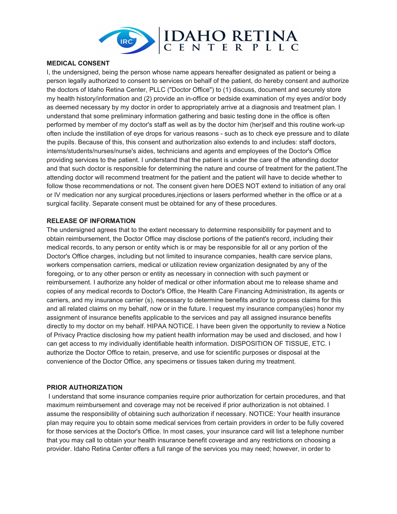

#### **MEDICAL CONSENT**

I, the undersigned, being the person whose name appears hereafter designated as patient or being a person legally authorized to consent to services on behalf of the patient, do hereby consent and authorize the doctors of Idaho Retina Center, PLLC ("Doctor Office") to (1) discuss, document and securely store my health history/information and (2) provide an in-office or bedside examination of my eyes and/or body as deemed necessary by my doctor in order to appropriately arrive at a diagnosis and treatment plan. I understand that some preliminary information gathering and basic testing done in the office is often performed by member of my doctor's staff as well as by the doctor him (her)self and this routine work-up often include the instillation of eye drops for various reasons - such as to check eye pressure and to dilate the pupils. Because of this, this consent and authorization also extends to and includes: staff doctors, interns/students/nurses/nurse's aides, technicians and agents and employees of the Doctor's Office providing services to the patient. I understand that the patient is under the care of the attending doctor and that such doctor is responsible for determining the nature and course of treatment for the patient.The attending doctor will recommend treatment for the patient and the patient will have to decide whether to follow those recommendations or not. The consent given here DOES NOT extend to initiation of any oral or IV medication nor any surgical procedures,injections or lasers performed whether in the office or at a surgical facility. Separate consent must be obtained for any of these procedures.

### **RELEASE OF INFORMATION**

The undersigned agrees that to the extent necessary to determine responsibility for payment and to obtain reimbursement, the Doctor Office may disclose portions of the patient's record, including their medical records, to any person or entity which is or may be responsible for all or any portion of the Doctor's Office charges, including but not limited to insurance companies, health care service plans, workers compensation carriers, medical or utilization review organization designated by any of the foregoing, or to any other person or entity as necessary in connection with such payment or reimbursement. I authorize any holder of medical or other information about me to release shame and copies of any medical records to Doctor's Office, the Health Care Financing Administration, its agents or carriers, and my insurance carrier (s), necessary to determine benefits and/or to process claims for this and all related claims on my behalf, now or in the future. I request my insurance company(ies) honor my assignment of insurance benefits applicable to the services and pay all assigned insurance benefits directly to my doctor on my behalf. HIPAA NOTICE. I have been given the opportunity to review a Notice of Privacy Practice disclosing how my patient health information may be used and disclosed, and how I can get access to my individually identifiable health information. DISPOSITION OF TISSUE, ETC. I authorize the Doctor Office to retain, preserve, and use for scientific purposes or disposal at the convenience of the Doctor Office, any specimens or tissues taken during my treatment.

#### **PRIOR AUTHORIZATION**

I understand that some insurance companies require prior authorization for certain procedures, and that maximum reimbursement and coverage may not be received if prior authorization is not obtained. I assume the responsibility of obtaining such authorization if necessary. NOTICE: Your health insurance plan may require you to obtain some medical services from certain providers in order to be fully covered for those services at the Doctor's Office. In most cases, your insurance card will list a telephone number that you may call to obtain your health insurance benefit coverage and any restrictions on choosing a provider. Idaho Retina Center offers a full range of the services you may need; however, in order to